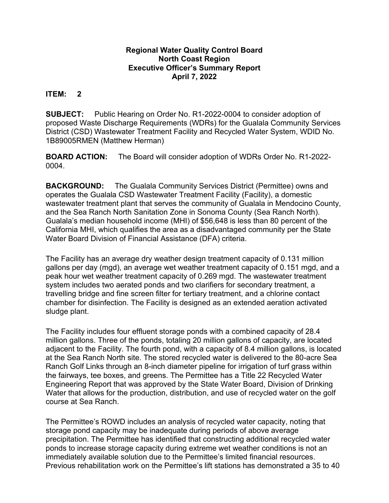## **Regional Water Quality Control Board North Coast Region Executive Officer's Summary Report April 7, 2022**

## **ITEM: 2**

**SUBJECT:** Public Hearing on Order No. R1-2022-0004 to consider adoption of proposed Waste Discharge Requirements (WDRs) for the Gualala Community Services District (CSD) Wastewater Treatment Facility and Recycled Water System, WDID No. 1B89005RMEN (Matthew Herman)

**BOARD ACTION:** The Board will consider adoption of WDRs Order No. R1-2022- 0004.

**BACKGROUND:** The Gualala Community Services District (Permittee) owns and operates the Gualala CSD Wastewater Treatment Facility (Facility), a domestic wastewater treatment plant that serves the community of Gualala in Mendocino County, and the Sea Ranch North Sanitation Zone in Sonoma County (Sea Ranch North). Gualala's median household income (MHI) of \$56,648 is less than 80 percent of the California MHI, which qualifies the area as a disadvantaged community per the State Water Board Division of Financial Assistance (DFA) criteria.

The Facility has an average dry weather design treatment capacity of 0.131 million gallons per day (mgd), an average wet weather treatment capacity of 0.151 mgd, and a peak hour wet weather treatment capacity of 0.269 mgd. The wastewater treatment system includes two aerated ponds and two clarifiers for secondary treatment, a travelling bridge and fine screen filter for tertiary treatment, and a chlorine contact chamber for disinfection. The Facility is designed as an extended aeration activated sludge plant.

The Facility includes four effluent storage ponds with a combined capacity of 28.4 million gallons. Three of the ponds, totaling 20 million gallons of capacity, are located adjacent to the Facility. The fourth pond, with a capacity of 8.4 million gallons, is located at the Sea Ranch North site. The stored recycled water is delivered to the 80-acre Sea Ranch Golf Links through an 8-inch diameter pipeline for irrigation of turf grass within the fairways, tee boxes, and greens. The Permittee has a Title 22 Recycled Water Engineering Report that was approved by the State Water Board, Division of Drinking Water that allows for the production, distribution, and use of recycled water on the golf course at Sea Ranch.

The Permittee's ROWD includes an analysis of recycled water capacity, noting that storage pond capacity may be inadequate during periods of above average precipitation. The Permittee has identified that constructing additional recycled water ponds to increase storage capacity during extreme wet weather conditions is not an immediately available solution due to the Permittee's limited financial resources. Previous rehabilitation work on the Permittee's lift stations has demonstrated a 35 to 40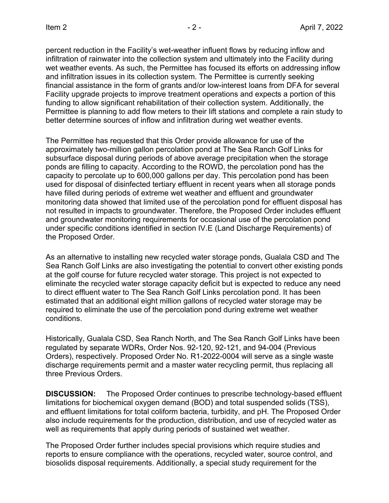percent reduction in the Facility's wet-weather influent flows by reducing inflow and infiltration of rainwater into the collection system and ultimately into the Facility during wet weather events. As such, the Permittee has focused its efforts on addressing inflow and infiltration issues in its collection system. The Permittee is currently seeking financial assistance in the form of grants and/or low-interest loans from DFA for several Facility upgrade projects to improve treatment operations and expects a portion of this funding to allow significant rehabilitation of their collection system. Additionally, the Permittee is planning to add flow meters to their lift stations and complete a rain study to better determine sources of inflow and infiltration during wet weather events.

The Permittee has requested that this Order provide allowance for use of the approximately two-million gallon percolation pond at The Sea Ranch Golf Links for subsurface disposal during periods of above average precipitation when the storage ponds are filling to capacity. According to the ROWD, the percolation pond has the capacity to percolate up to 600,000 gallons per day. This percolation pond has been used for disposal of disinfected tertiary effluent in recent years when all storage ponds have filled during periods of extreme wet weather and effluent and groundwater monitoring data showed that limited use of the percolation pond for effluent disposal has not resulted in impacts to groundwater. Therefore, the Proposed Order includes effluent and groundwater monitoring requirements for occasional use of the percolation pond under specific conditions identified in section IV.E (Land Discharge Requirements) of the Proposed Order.

As an alternative to installing new recycled water storage ponds, Gualala CSD and The Sea Ranch Golf Links are also investigating the potential to convert other existing ponds at the golf course for future recycled water storage. This project is not expected to eliminate the recycled water storage capacity deficit but is expected to reduce any need to direct effluent water to The Sea Ranch Golf Links percolation pond. It has been estimated that an additional eight million gallons of recycled water storage may be required to eliminate the use of the percolation pond during extreme wet weather conditions.

Historically, Gualala CSD, Sea Ranch North, and The Sea Ranch Golf Links have been regulated by separate WDRs, Order Nos. 92-120, 92-121, and 94-004 (Previous Orders), respectively. Proposed Order No. R1-2022-0004 will serve as a single waste discharge requirements permit and a master water recycling permit, thus replacing all three Previous Orders.

**DISCUSSION:** The Proposed Order continues to prescribe technology-based effluent limitations for biochemical oxygen demand (BOD) and total suspended solids (TSS), and effluent limitations for total coliform bacteria, turbidity, and pH. The Proposed Order also include requirements for the production, distribution, and use of recycled water as well as requirements that apply during periods of sustained wet weather.

The Proposed Order further includes special provisions which require studies and reports to ensure compliance with the operations, recycled water, source control, and biosolids disposal requirements. Additionally, a special study requirement for the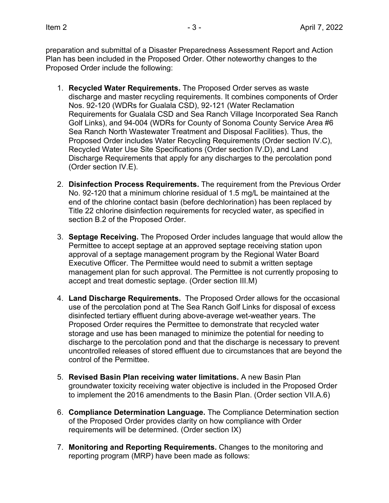preparation and submittal of a Disaster Preparedness Assessment Report and Action Plan has been included in the Proposed Order. Other noteworthy changes to the Proposed Order include the following:

- 1. **Recycled Water Requirements.** The Proposed Order serves as waste discharge and master recycling requirements. It combines components of Order Nos. 92-120 (WDRs for Gualala CSD), 92-121 (Water Reclamation Requirements for Gualala CSD and Sea Ranch Village Incorporated Sea Ranch Golf Links), and 94-004 (WDRs for County of Sonoma County Service Area #6 Sea Ranch North Wastewater Treatment and Disposal Facilities). Thus, the Proposed Order includes Water Recycling Requirements (Order section IV.C), Recycled Water Use Site Specifications (Order section IV.D), and Land Discharge Requirements that apply for any discharges to the percolation pond (Order section IV.E).
- 2. **Disinfection Process Requirements.** The requirement from the Previous Order No. 92-120 that a minimum chlorine residual of 1.5 mg/L be maintained at the end of the chlorine contact basin (before dechlorination) has been replaced by Title 22 chlorine disinfection requirements for recycled water, as specified in section B.2 of the Proposed Order.
- 3. **Septage Receiving.** The Proposed Order includes language that would allow the Permittee to accept septage at an approved septage receiving station upon approval of a septage management program by the Regional Water Board Executive Officer. The Permittee would need to submit a written septage management plan for such approval. The Permittee is not currently proposing to accept and treat domestic septage. (Order section III.M)
- 4. **Land Discharge Requirements.** The Proposed Order allows for the occasional use of the percolation pond at The Sea Ranch Golf Links for disposal of excess disinfected tertiary effluent during above-average wet-weather years. The Proposed Order requires the Permittee to demonstrate that recycled water storage and use has been managed to minimize the potential for needing to discharge to the percolation pond and that the discharge is necessary to prevent uncontrolled releases of stored effluent due to circumstances that are beyond the control of the Permittee.
- 5. **Revised Basin Plan receiving water limitations.** A new Basin Plan groundwater toxicity receiving water objective is included in the Proposed Order to implement the 2016 amendments to the Basin Plan. (Order section VII.A.6)
- 6. **Compliance Determination Language.** The Compliance Determination section of the Proposed Order provides clarity on how compliance with Order requirements will be determined. (Order section IX)
- 7. **Monitoring and Reporting Requirements.** Changes to the monitoring and reporting program (MRP) have been made as follows: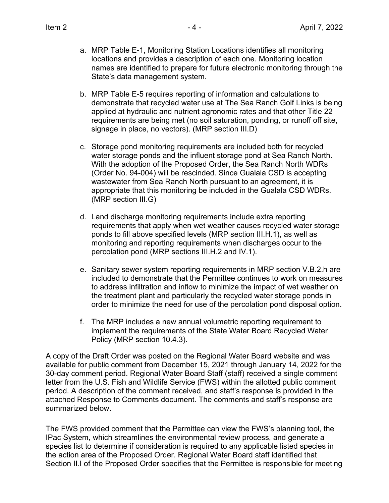- a. MRP Table E-1, Monitoring Station Locations identifies all monitoring locations and provides a description of each one. Monitoring location names are identified to prepare for future electronic monitoring through the State's data management system.
- b. MRP Table E-5 requires reporting of information and calculations to demonstrate that recycled water use at The Sea Ranch Golf Links is being applied at hydraulic and nutrient agronomic rates and that other Title 22 requirements are being met (no soil saturation, ponding, or runoff off site, signage in place, no vectors). (MRP section III.D)
- c. Storage pond monitoring requirements are included both for recycled water storage ponds and the influent storage pond at Sea Ranch North. With the adoption of the Proposed Order, the Sea Ranch North WDRs (Order No. 94-004) will be rescinded. Since Gualala CSD is accepting wastewater from Sea Ranch North pursuant to an agreement, it is appropriate that this monitoring be included in the Gualala CSD WDRs. (MRP section III.G)
- d. Land discharge monitoring requirements include extra reporting requirements that apply when wet weather causes recycled water storage ponds to fill above specified levels (MRP section III.H.1), as well as monitoring and reporting requirements when discharges occur to the percolation pond (MRP sections III.H.2 and IV.1).
- e. Sanitary sewer system reporting requirements in MRP section V.B.2.h are included to demonstrate that the Permittee continues to work on measures to address infiltration and inflow to minimize the impact of wet weather on the treatment plant and particularly the recycled water storage ponds in order to minimize the need for use of the percolation pond disposal option.
- f. The MRP includes a new annual volumetric reporting requirement to implement the requirements of the State Water Board Recycled Water Policy (MRP section 10.4.3).

A copy of the Draft Order was posted on the Regional Water Board website and was available for public comment from December 15, 2021 through January 14, 2022 for the 30-day comment period. Regional Water Board Staff (staff) received a single comment letter from the U.S. Fish and Wildlife Service (FWS) within the allotted public comment period. A description of the comment received, and staff's response is provided in the attached Response to Comments document. The comments and staff's response are summarized below.

The FWS provided comment that the Permittee can view the FWS's planning tool, the IPac System, which streamlines the environmental review process, and generate a species list to determine if consideration is required to any applicable listed species in the action area of the Proposed Order. Regional Water Board staff identified that Section II.I of the Proposed Order specifies that the Permittee is responsible for meeting